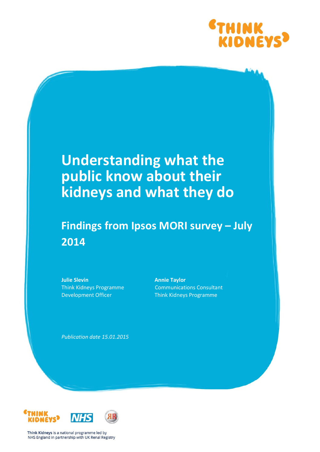

# **Understanding what the public know about their kidneys and what they do**

## **Findings from Ipsos MORI survey – July 2014**

**Julie Slevin** Think Kidneys Programme Development Officer

**Annie Taylor** Communications Consultant Think Kidneys Programme

*Publication date 15.01.2015*



Think Kidneys is a national programme led by NHS England in partnership with UK Renal Registry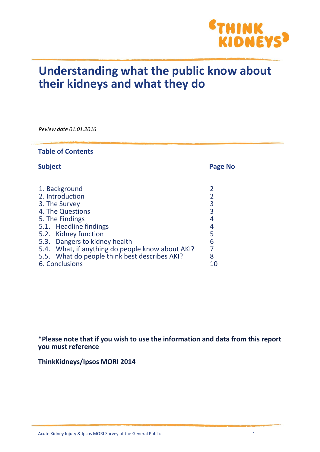

## **Understanding what the public know about their kidneys and what they do**

*Review date 01.01.2016*

| <b>Table of Contents</b>                                                                                                                                                                                                                                                         |                                                             |  |  |  |  |  |  |  |  |
|----------------------------------------------------------------------------------------------------------------------------------------------------------------------------------------------------------------------------------------------------------------------------------|-------------------------------------------------------------|--|--|--|--|--|--|--|--|
| <b>Subject</b>                                                                                                                                                                                                                                                                   | Page No                                                     |  |  |  |  |  |  |  |  |
| 1. Background<br>2. Introduction<br>3. The Survey<br>4. The Questions<br>5. The Findings<br>5.1. Headline findings<br>5.2. Kidney function<br>5.3. Dangers to kidney health<br>5.4. What, if anything do people know about AKI?<br>5.5. What do people think best describes AKI? | 2<br>$\overline{2}$<br>3<br>3<br>4<br>4<br>5<br>6<br>7<br>8 |  |  |  |  |  |  |  |  |
| 6. Conclusions                                                                                                                                                                                                                                                                   | 10                                                          |  |  |  |  |  |  |  |  |

**\*Please note that if you wish to use the information and data from this report you must reference** 

**ThinkKidneys/Ipsos MORI 2014**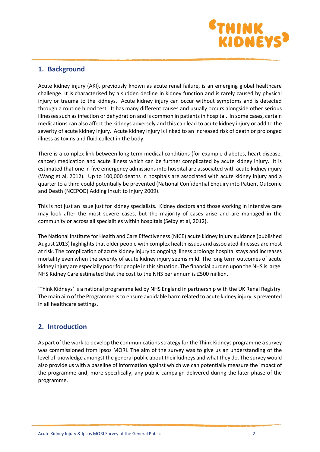

## **1. Background**

Acute kidney injury (AKI), previously known as acute renal failure, is an emerging global healthcare challenge. It is characterised by a sudden decline in kidney function and is rarely caused by physical injury or trauma to the kidneys. Acute kidney injury can occur without symptoms and is detected through a routine blood test. It has many different causes and usually occurs alongside other serious illnesses such as infection or dehydration and is common in patients in hospital. In some cases, certain medications can also affect the kidneys adversely and this can lead to acute kidney injury or add to the severity of acute kidney injury. Acute kidney injury is linked to an increased risk of death or prolonged illness as toxins and fluid collect in the body.

There is a complex link between long term medical conditions (for example diabetes, heart disease, cancer) medication and acute illness which can be further complicated by acute kidney injury. It is estimated that one in five emergency admissions into hospital are associated with acute kidney injury (Wang et al, 2012). Up to 100,000 deaths in hospitals are associated with acute kidney injury and a quarter to a third could potentially be prevented (National Confidential Enquiry into Patient Outcome and Death (NCEPOD) Adding Insult to Injury 2009).

This is not just an issue just for kidney specialists. Kidney doctors and those working in intensive care may look after the most severe cases, but the majority of cases arise and are managed in the community or across all specialities within hospitals (Selby et al, 2012).

The National Institute for Health and Care Effectiveness (NICE) acute kidney injury guidance (published August 2013) highlights that older people with complex health issues and associated illnesses are most at risk. The complication of acute kidney injury to ongoing illness prolongs hospital stays and increases mortality even when the severity of acute kidney injury seems mild. The long term outcomes of acute kidney injury are especially poor for people in this situation. The financial burden upon the NHS is large. NHS Kidney Care estimated that the cost to the NHS per annum is £500 million.

'Think Kidneys' is a national programme led by NHS England in partnership with the UK Renal Registry. The main aim of the Programme is to ensure avoidable harm related to acute kidney injury is prevented in all healthcare settings.

## **2. Introduction**

As part of the work to develop the communications strategy for the Think Kidneys programme a survey was commissioned from Ipsos MORI. The aim of the survey was to give us an understanding of the level of knowledge amongst the general public about their kidneys and what they do. The survey would also provide us with a baseline of information against which we can potentially measure the impact of the programme and, more specifically, any public campaign delivered during the later phase of the programme.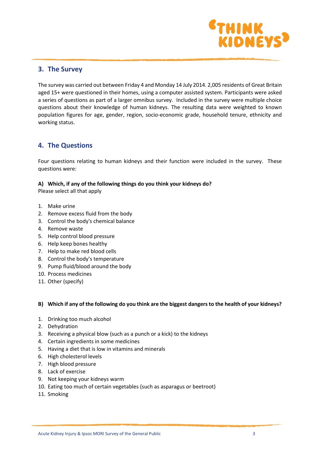

### **3. The Survey**

The survey was carried out between Friday 4 and Monday 14 July 2014. 2,005 residents of Great Britain aged 15+ were questioned in their homes, using a computer assisted system. Participants were asked a series of questions as part of a larger omnibus survey. Included in the survey were multiple choice questions about their knowledge of human kidneys. The resulting data were weighted to known population figures for age, gender, region, socio-economic grade, household tenure, ethnicity and working status.

## **4. The Questions**

Four questions relating to human kidneys and their function were included in the survey. These questions were:

#### **A) Which, if any of the following things do you think your kidneys do?**

Please select all that apply

- 1. Make urine
- 2. Remove excess fluid from the body
- 3. Control the body's chemical balance
- 4. Remove waste
- 5. Help control blood pressure
- 6. Help keep bones healthy
- 7. Help to make red blood cells
- 8. Control the body's temperature
- 9. Pump fluid/blood around the body
- 10. Process medicines
- 11. Other (specify)

#### **B) Which if any of the following do you think are the biggest dangers to the health of your kidneys?**

- 1. Drinking too much alcohol
- 2. Dehydration
- 3. Receiving a physical blow (such as a punch or a kick) to the kidneys
- 4. Certain ingredients in some medicines
- 5. Having a diet that is low in vitamins and minerals
- 6. High cholesterol levels
- 7. High blood pressure
- 8. Lack of exercise
- 9. Not keeping your kidneys warm
- 10. Eating too much of certain vegetables (such as asparagus or beetroot)
- 11. Smoking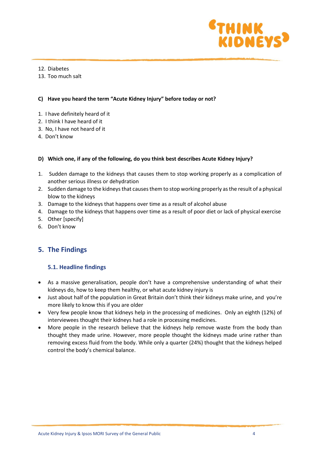

- 12. Diabetes
- 13. Too much salt

#### **C) Have you heard the term "Acute Kidney Injury" before today or not?**

- 1. I have definitely heard of it
- 2. I think I have heard of it
- 3. No, I have not heard of it
- 4. Don't know

#### **D) Which one, if any of the following, do you think best describes Acute Kidney Injury?**

- 1. Sudden damage to the kidneys that causes them to stop working properly as a complication of another serious illness or dehydration
- 2. Sudden damage to the kidneys that causes them to stop working properly as the result of a physical blow to the kidneys
- 3. Damage to the kidneys that happens over time as a result of alcohol abuse
- 4. Damage to the kidneys that happens over time as a result of poor diet or lack of physical exercise
- 5. Other [specify]
- 6. Don't know

## **5. The Findings**

#### **5.1. Headline findings**

- As a massive generalisation, people don't have a comprehensive understanding of what their kidneys do, how to keep them healthy, or what acute kidney injury is
- Just about half of the population in Great Britain don't think their kidneys make urine, and you're more likely to know this if you are older
- Very few people know that kidneys help in the processing of medicines. Only an eighth (12%) of interviewees thought their kidneys had a role in processing medicines.
- More people in the research believe that the kidneys help remove waste from the body than thought they made urine. However, more people thought the kidneys made urine rather than removing excess fluid from the body. While only a quarter (24%) thought that the kidneys helped control the body's chemical balance.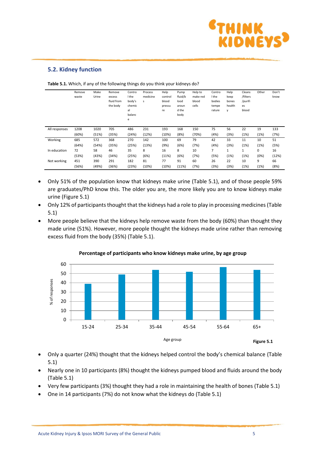

#### **5.2. Kidney function**

|               | Remove<br>waste | Make<br>Urine | Remove<br>excess<br>fluid from<br>the body | Contro<br>I the<br>body's<br>chemic<br>al<br>balanc<br>e | Process<br>medicine<br>s | Help<br>control<br>blood<br>pressu<br>re | Pump<br>fluid/b<br>lood<br>aroun<br>d the<br>body | Help to<br>make red<br>blood<br>cells | Contro<br>I the<br>bodies<br>tempe<br>rature | Help<br>keep<br>bones<br>health<br>V | Cleans<br>/filters<br>/purifi<br>es<br>blood | Other | Don't<br>know |
|---------------|-----------------|---------------|--------------------------------------------|----------------------------------------------------------|--------------------------|------------------------------------------|---------------------------------------------------|---------------------------------------|----------------------------------------------|--------------------------------------|----------------------------------------------|-------|---------------|
| All responses | 1208            | 1020          | 705                                        | 486                                                      | 231                      | 193                                      | 168                                               | 150                                   | 75                                           | 56                                   | 22                                           | 19    | 133           |
|               | (60%)           | (51%)         | (35%)                                      | (24%)                                                    | (12%)                    | (10%)                                    | (8%)                                              | (70%)                                 | (4%)                                         | (3%)                                 | (1%)                                         | (1%)  | (7%)          |
| Working       | 685             | 572           | 368                                        | 270                                                      | 142                      | 100                                      | 69                                                | 79                                    | 42                                           | 33                                   | 11                                           | 10    | 51            |
|               | (64%)           | (54%)         | (35%)                                      | (25%)                                                    | (13%)                    | (9%)                                     | (6%)                                              | (7%)                                  | (4%)                                         | (3%)                                 | (1%)                                         | (1%)  | (5%)          |
| In education  | 72              | 58            | 46                                         | 35                                                       | 8                        | 16                                       | 8                                                 | 10                                    | 7                                            | $\mathbf{1}$                         | 1                                            | 0     | 16            |
|               | (53%)           | (43%)         | (34%)                                      | (25%)                                                    | (6%)                     | (11%)                                    | (6%)                                              | (7%)                                  | (5%)                                         | (1%)                                 | (1%)                                         | (0%)  | (12%)         |
| Not working   | 451             | 390           | 291                                        | 182                                                      | 81                       | 77                                       | 91                                                | 60                                    | 26                                           | 22                                   | 10                                           | 9     | 66            |
|               | (56%)           | (49%)         | (36%)                                      | (23%)                                                    | (10%)                    | (10%)                                    | (11%)                                             | (7%)                                  | (3%)                                         | (3%)                                 | (1%)                                         | (1%)  | (8%)          |

**Table 5.1.** Which, if any of the following things do you think your kidneys do?

- Only 51% of the population know that kidneys make urine (Table 5.1), and of those people 59% are graduates/PhD know this. The older you are, the more likely you are to know kidneys make urine (Figure 5.1)
- Only 12% of participants thought that the kidneys had a role to play in processing medicines (Table 5.1)
- More people believe that the kidneys help remove waste from the body (60%) than thought they made urine (51%). However, more people thought the kidneys made urine rather than removing excess fluid from the body (35%) (Table 5.1).



#### **Percentage of participants who know kidneys make urine, by age group**

- Only a quarter (24%) thought that the kidneys helped control the body's chemical balance (Table 5.1)
- Nearly one in 10 participants (8%) thought the kidneys pumped blood and fluids around the body (Table 5.1)
- Very few participants (3%) thought they had a role in maintaining the health of bones (Table 5.1)
- One in 14 participants (7%) do not know what the kidneys do (Table 5.1)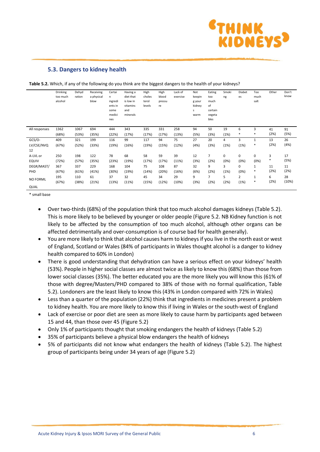

#### **5.3. Dangers to kidney health**

|                 | Drinking<br>too much<br>alcohol | Dehyd<br>ration | Receiving<br>a physical<br>blow | Certai<br>n.<br>ingredi<br>ents in<br>some<br>medici<br>nes | Having a<br>diet that<br>is low in<br>vitamins<br>and<br>minerals | High<br>choles<br>terol<br>levels | High<br>blood<br>pressu<br>re | Lack of<br>exercise | Not<br>keepin<br>g your<br>kidney<br>s<br>warm | Eating<br>too<br>much<br>of<br>certain<br>vegeta<br>bles | Smoki<br>ng | Diabet<br>es   | Too<br>much<br>salt | Other  | Don't<br>know |
|-----------------|---------------------------------|-----------------|---------------------------------|-------------------------------------------------------------|-------------------------------------------------------------------|-----------------------------------|-------------------------------|---------------------|------------------------------------------------|----------------------------------------------------------|-------------|----------------|---------------------|--------|---------------|
| All responses   | 1362                            | 1067            | 694                             | 444                                                         | 343                                                               | 335                               | 331                           | 258                 | 94                                             | 50                                                       | 19          | 6              | 3                   | 41     | 91            |
|                 | (68%)                           | (53%)           | (35%)                           | (22%)                                                       | (17%)                                                             | (17%)                             | (17%)                         | (13%)               | (5%)                                           | (3%)                                                     | (1%)        | *              | $\ast$              | (2%)   | (5%)          |
| $GCS/O-$        | 409                             | 321             | 199                             | 116                                                         | 99                                                                | 117                               | 94                            | 75                  | 27                                             | 20                                                       | 4           | 3              | $\mathbf{1}$        | 13     | 26            |
| LV/CSE/NVQ      | (67%)                           | (52%)           | (33%)                           | (19%)                                                       | (16%)                                                             | (19%)                             | (15%)                         | (12%)               | (4%)                                           | (3%)                                                     | (1%)        | (1%)           | $\ast$              | (2%)   | (4%)          |
| 12              |                                 |                 |                                 |                                                             |                                                                   |                                   |                               |                     |                                                |                                                          |             |                |                     |        |               |
| A-LVL or        | 250                             | 198             | 122                             | 78                                                          | 68                                                                | 58                                | 59                            | 39                  | 12                                             | 7                                                        | 0           | 0              | 0                   | 3      | 17            |
| <b>EQUIV</b>    | (72%)                           | (57%)           | (35%)                           | (23%)                                                       | (19%)                                                             | (17%)                             | (17%)                         | (11%)               | (3%)                                           | (2%)                                                     | (0%)        | (0%)           | (0%)                | $\ast$ | (5%)          |
| DEGR/MAST/      | 367                             | 337             | 229                             | 168                                                         | 104                                                               | 75                                | 108                           | 87                  | 32                                             | 9                                                        | 3           | 0              | 1                   | 11     | 11            |
| PHD             | (67%)                           | (61%)           | (41%)                           | (30%)                                                       | (19%)                                                             | (14%)                             | (20%)                         | (16%)               | (6%)                                           | (2%)                                                     | (1%)        | (0%)           | $\ast$              | (2%)   | (2%)          |
|                 | 195                             | 110             | 61                              | 37                                                          | 32                                                                | 45                                | 34                            | 29                  | 9                                              | 7                                                        | 5           | $\overline{2}$ | $\mathbf{1}$        | 6      | 28            |
| <b>NO FORML</b> | (67%)                           | (38%)           | (21%)                           | (13%)                                                       | (11%)                                                             | (15%)                             | (12%)                         | (10%)               | (3%)                                           | (2%)                                                     | (2%)        | (1%)           | $\ast$              | (2%)   | (10%)         |
| QUAL            |                                 |                 |                                 |                                                             |                                                                   |                                   |                               |                     |                                                |                                                          |             |                |                     |        |               |

**Table 5.2.** Which, if any of the following do you think are the biggest dangers to the health of your kidneys?

\* small base

- Over two-thirds (68%) of the population think that too much alcohol damages kidneys (Table 5.2). This is more likely to be believed by younger or older people (Figure 5.2. NB Kidney function is not likely to be affected by the consumption of too much alcohol, although other organs can be affected detrimentally and over-consumption is of course bad for health generally).
- You are more likely to think that alcohol causes harm to kidneysif you live in the north east or west of England, Scotland or Wales (84% of participants in Wales thought alcohol is a danger to kidney health compared to 60% in London)
- There is good understanding that dehydration can have a serious effect on your kidneys' health (53%). People in higher social classes are almost twice as likely to know this (68%) than those from lower social classes (35%). The better educated you are the more likely you will know this (61% of those with degree/Masters/PHD compared to 38% of those with no formal qualification, Table 5.2). Londoners are the least likely to know this (43% in London compared with 72% in Wales)
- Less than a quarter of the population (22%) think that ingredients in medicines present a problem to kidney health. You are more likely to know this if living in Wales or the south-west of England
- Lack of exercise or poor diet are seen as more likely to cause harm by participants aged between 15 and 44, than those over 45 (Figure 5.2)
- Only 1% of participants thought that smoking endangers the health of kidneys (Table 5.2)
- 35% of participants believe a physical blow endangers the health of kidneys
- 5% of participants did not know what endangers the health of kidneys (Table 5.2). The highest group of participants being under 34 years of age (Figure 5.2)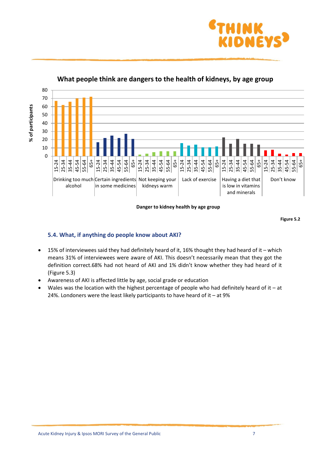



**What people think are dangers to the health of kidneys, by age group**

**Danger to kidney health by age group**

**Figure 5.2**

### **5.4. What, if anything do people know about AKI?**

- 15% of interviewees said they had definitely heard of it, 16% thought they had heard of it which means 31% of interviewees were aware of AKI. This doesn't necessarily mean that they got the definition correct.68% had not heard of AKI and 1% didn't know whether they had heard of it (Figure 5.3)
- Awareness of AKI is affected little by age, social grade or education
- Wales was the location with the highest percentage of people who had definitely heard of it at 24%. Londoners were the least likely participants to have heard of it – at 9%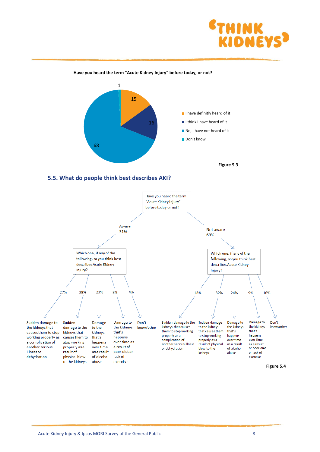





#### **5.5. What do people think best describes AKI?**

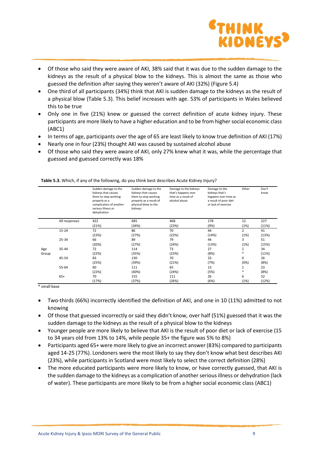

- Of those who said they were aware of AKI, 38% said that it was due to the sudden damage to the kidneys as the result of a physical blow to the kidneys. This is almost the same as those who guessed the definition after saying they weren't aware of AKI (32%) (Figure 5.4)
- One third of all participants (34%) think that AKI is sudden damage to the kidneys as the result of a physical blow (Table 5.3). This belief increases with age. 53% of participants in Wales believed this to be true
- Only one in five (21%) knew or guessed the correct definition of acute kidney injury. These participants are more likely to have a higher education and to be from higher social economic class (ABC1)
- In terms of age, participants over the age of 65 are least likely to know true definition of AKI (17%)
- Nearly one in four (23%) thought AKI was caused by sustained alcohol abuse
- Of those who said they were aware of AKI, only 27% knew what it was, while the percentage that guessed and guessed correctly was 18%

|       |               | Sudden damage to the<br>kidneys that causes<br>them to stop working<br>properly as a<br>complication of another<br>serious illness or<br>dehydration | Sudden damage to the<br>kidneys that causes<br>them to stop working<br>properly as a result of<br>physical blow to the<br>kidneys | Damage to the kidneys<br>that's happens over<br>time as a result of<br>alcohol abuse | Damage to the<br>kidneys that's<br>happens over time as<br>a result of poor diet<br>or lack of exercise | Other          | Don't<br>know |
|-------|---------------|------------------------------------------------------------------------------------------------------------------------------------------------------|-----------------------------------------------------------------------------------------------------------------------------------|--------------------------------------------------------------------------------------|---------------------------------------------------------------------------------------------------------|----------------|---------------|
|       | All responses | 422                                                                                                                                                  | 685                                                                                                                               | 468                                                                                  | 178                                                                                                     | 12             | 227           |
|       |               | (21%)                                                                                                                                                | (34%)                                                                                                                             | (23%)                                                                                | (9%)                                                                                                    | (1%)           | (11%)         |
|       | $15 - 24$     | 72                                                                                                                                                   | 86                                                                                                                                | 70                                                                                   | 44                                                                                                      | $\overline{2}$ | 41            |
|       |               | (23%)                                                                                                                                                | (27%)                                                                                                                             | (22%)                                                                                | (14%)                                                                                                   | (1%)           | (13%)         |
|       | 25-34         | 66                                                                                                                                                   | 89                                                                                                                                | 79                                                                                   | 44                                                                                                      | 3              | 51            |
|       |               | (20%)                                                                                                                                                | (27%)                                                                                                                             | (24%)                                                                                | (13%)                                                                                                   | (1%)           | (15%)         |
| Age   | $35 - 44$     | 72                                                                                                                                                   | 114                                                                                                                               | 73                                                                                   | 27                                                                                                      | 1              | 34            |
| Group |               | (22%)                                                                                                                                                | (35%)                                                                                                                             | (23%)                                                                                | (8%)                                                                                                    | $\ast$         | (11%)         |
|       | 45-54         | 83                                                                                                                                                   | 130                                                                                                                               | 70                                                                                   | 23                                                                                                      | 0              | 26            |
|       |               | (25%)                                                                                                                                                | (39%)                                                                                                                             | (21%)                                                                                | (7%)                                                                                                    | (0%)           | (8%)          |
|       | 55-64         | 60                                                                                                                                                   | 111                                                                                                                               | 65                                                                                   | 13                                                                                                      | 1              | 23            |
|       |               | (22%)                                                                                                                                                | (40%)                                                                                                                             | (24%)                                                                                | (5%)                                                                                                    | $\ast$         | (8%)          |
|       | $65+$         | 70                                                                                                                                                   | 155                                                                                                                               | 111                                                                                  | 26                                                                                                      | 6              | 52            |
|       |               | (17%)                                                                                                                                                | (37%)                                                                                                                             | (26%)                                                                                | (6%)                                                                                                    | (1%)           | (12%)         |

**Table 5.3.** Which, if any of the following, do you think best describes Acute Kidney Injury?

\* small base

- Two-thirds (66%) incorrectly identified the definition of AKI, and one in 10 (11%) admitted to not knowing
- Of those that guessed incorrectly or said they didn't know, over half (51%) guessed that it was the sudden damage to the kidneys as the result of a physical blow to the kidneys
- Younger people are more likely to believe that AKI is the result of poor diet or lack of exercise (15 to 34 years old from 13% to 14%, while people 35+ the figure was 5% to 8%)
- Participants aged 65+ were more likely to give an incorrect answer (83%) compared to participants aged 14-25 (77%). Londoners were the most likely to say they don't know what best describes AKI (23%), while participants in Scotland were most likely to select the correct definition (28%)
- The more educated participants were more likely to know, or have correctly guessed, that AKI is the sudden damage to the kidneys as a complication of another serious illness or dehydration (lack of water). These participants are more likely to be from a higher social economic class (ABC1)